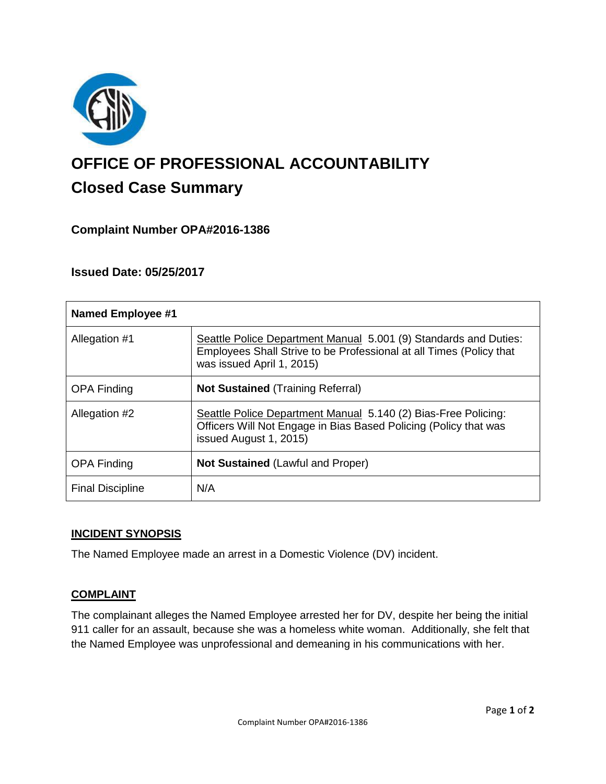

# **OFFICE OF PROFESSIONAL ACCOUNTABILITY Closed Case Summary**

# **Complaint Number OPA#2016-1386**

## **Issued Date: 05/25/2017**

| <b>Named Employee #1</b> |                                                                                                                                                                      |
|--------------------------|----------------------------------------------------------------------------------------------------------------------------------------------------------------------|
| Allegation #1            | Seattle Police Department Manual 5.001 (9) Standards and Duties:<br>Employees Shall Strive to be Professional at all Times (Policy that<br>was issued April 1, 2015) |
| <b>OPA Finding</b>       | <b>Not Sustained (Training Referral)</b>                                                                                                                             |
| Allegation #2            | Seattle Police Department Manual 5.140 (2) Bias-Free Policing:<br>Officers Will Not Engage in Bias Based Policing (Policy that was<br>issued August 1, 2015)         |
| <b>OPA Finding</b>       | <b>Not Sustained (Lawful and Proper)</b>                                                                                                                             |
| <b>Final Discipline</b>  | N/A                                                                                                                                                                  |

#### **INCIDENT SYNOPSIS**

The Named Employee made an arrest in a Domestic Violence (DV) incident.

#### **COMPLAINT**

The complainant alleges the Named Employee arrested her for DV, despite her being the initial 911 caller for an assault, because she was a homeless white woman. Additionally, she felt that the Named Employee was unprofessional and demeaning in his communications with her.